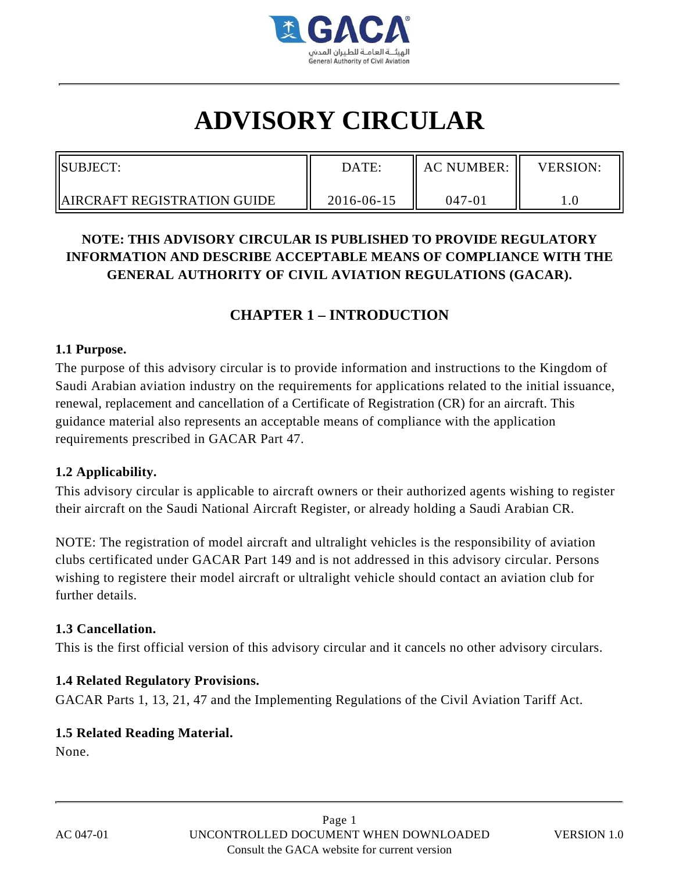

# **ADVISORY CIRCULAR**

| SUBJECT:                             | DATE:      | <b>AC NUMBER:</b> | VERSION: |
|--------------------------------------|------------|-------------------|----------|
| <b>ILAIRCRAFT REGISTRATION GUIDE</b> | 2016-06-15 | $047 - 01$        |          |

## **NOTE: THIS ADVISORY CIRCULAR IS PUBLISHED TO PROVIDE REGULATORY INFORMATION AND DESCRIBE ACCEPTABLE MEANS OF COMPLIANCE WITH THE GENERAL AUTHORITY OF CIVIL AVIATION REGULATIONS (GACAR).**

# **CHAPTER 1 – INTRODUCTION**

#### **1.1 Purpose.**

The purpose of this advisory circular is to provide information and instructions to the Kingdom of Saudi Arabian aviation industry on the requirements for applications related to the initial issuance, renewal, replacement and cancellation of a Certificate of Registration (CR) for an aircraft. This guidance material also represents an acceptable means of compliance with the application requirements prescribed in GACAR Part 47.

## **1.2 Applicability.**

This advisory circular is applicable to aircraft owners or their authorized agents wishing to register their aircraft on the Saudi National Aircraft Register, or already holding a Saudi Arabian CR.

NOTE: The registration of model aircraft and ultralight vehicles is the responsibility of aviation clubs certificated under GACAR Part 149 and is not addressed in this advisory circular. Persons wishing to registere their model aircraft or ultralight vehicle should contact an aviation club for further details.

## **1.3 Cancellation.**

This is the first official version of this advisory circular and it cancels no other advisory circulars.

## **1.4 Related Regulatory Provisions.**

GACAR Parts 1, 13, 21, 47 and the Implementing Regulations of the Civil Aviation Tariff Act.

## **1.5 Related Reading Material.**

None.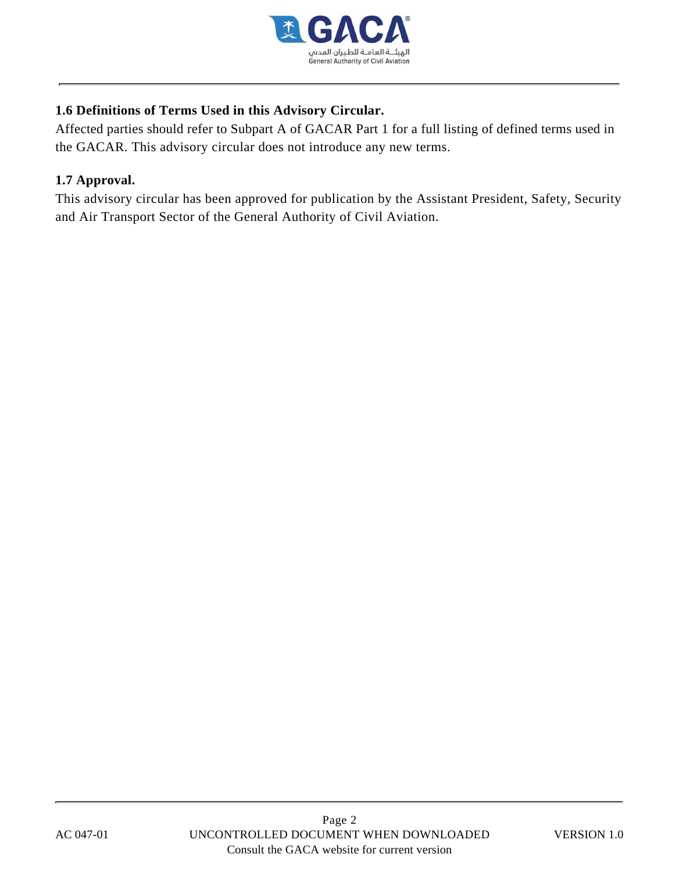

## **1.6 Definitions of Terms Used in this Advisory Circular.**

Affected parties should refer to Subpart A of GACAR Part 1 for a full listing of defined terms used in the GACAR. This advisory circular does not introduce any new terms.

## **1.7 Approval.**

This advisory circular has been approved for publication by the Assistant President, Safety, Security and Air Transport Sector of the General Authority of Civil Aviation.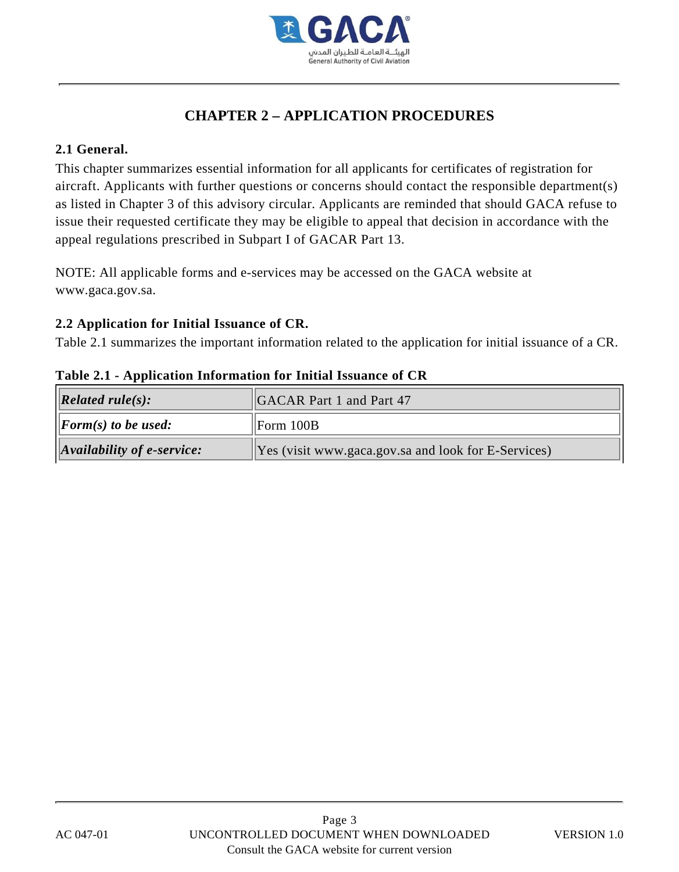

# **CHAPTER 2 – APPLICATION PROCEDURES**

## **2.1 General.**

This chapter summarizes essential information for all applicants for certificates of registration for aircraft. Applicants with further questions or concerns should contact the responsible department(s) as listed in Chapter 3 of this advisory circular. Applicants are reminded that should GACA refuse to issue their requested certificate they may be eligible to appeal that decision in accordance with the appeal regulations prescribed in Subpart I of GACAR Part 13.

NOTE: All applicable forms and e-services may be accessed on the GACA website at www.gaca.gov.sa.

## **2.2 Application for Initial Issuance of CR.**

Table 2.1 summarizes the important information related to the application for initial issuance of a CR.

| Related $rule(s)$ :                                   | <b>GACAR Part 1 and Part 47</b>                                                    |  |
|-------------------------------------------------------|------------------------------------------------------------------------------------|--|
| $\left\vert \mathbf{Form}\left( s\right)$ to be used: | $\vert$ Form 100B                                                                  |  |
| $\Delta$ <i>vailability of e-service:</i>             | $\left\Vert \text{Yes (visit www.gaca.gov.sa and look for E-Services)}\right\Vert$ |  |

#### **Table 2.1 - Application Information for Initial Issuance of CR**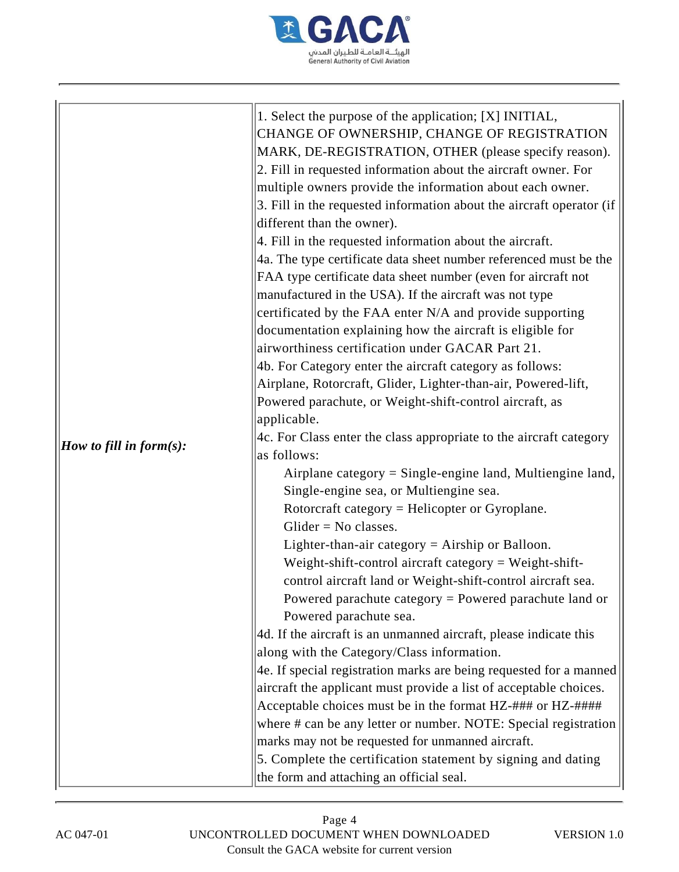

| 1. Select the purpose of the application; [X] INITIAL,<br>CHANGE OF OWNERSHIP, CHANGE OF REGISTRATION<br>MARK, DE-REGISTRATION, OTHER (please specify reason).<br>2. Fill in requested information about the aircraft owner. For<br>multiple owners provide the information about each owner.<br>3. Fill in the requested information about the aircraft operator (if<br>different than the owner).<br>$ 4$ . Fill in the requested information about the aircraft.<br>4a. The type certificate data sheet number referenced must be the<br>FAA type certificate data sheet number (even for aircraft not<br>manufactured in the USA). If the aircraft was not type<br>certificated by the FAA enter N/A and provide supporting<br>documentation explaining how the aircraft is eligible for<br>airworthiness certification under GACAR Part 21.<br>4b. For Category enter the aircraft category as follows:<br>Airplane, Rotorcraft, Glider, Lighter-than-air, Powered-lift,<br>Powered parachute, or Weight-shift-control aircraft, as<br>applicable.<br>4c. For Class enter the class appropriate to the aircraft category<br>as follows:<br>Airplane category = Single-engine land, Multiengine land,<br>Single-engine sea, or Multiengine sea.<br>Rotorcraft category = Helicopter or Gyroplane.<br>$G$ lider = No classes.<br>Lighter-than-air category = $A$ irship or Balloon.<br>Weight-shift-control aircraft category = Weight-shift-<br>control aircraft land or Weight-shift-control aircraft sea.<br>Powered parachute category $=$ Powered parachute land or<br>Powered parachute sea.<br>4d. If the aircraft is an unmanned aircraft, please indicate this<br>along with the Category/Class information.<br>4e. If special registration marks are being requested for a manned<br>aircraft the applicant must provide a list of acceptable choices.<br>Acceptable choices must be in the format HZ-### or HZ-####<br>where # can be any letter or number. NOTE: Special registration<br>marks may not be requested for unmanned aircraft.<br>5. Complete the certification statement by signing and dating<br>the form and attaching an official seal. |
|------------------------------------------------------------------------------------------------------------------------------------------------------------------------------------------------------------------------------------------------------------------------------------------------------------------------------------------------------------------------------------------------------------------------------------------------------------------------------------------------------------------------------------------------------------------------------------------------------------------------------------------------------------------------------------------------------------------------------------------------------------------------------------------------------------------------------------------------------------------------------------------------------------------------------------------------------------------------------------------------------------------------------------------------------------------------------------------------------------------------------------------------------------------------------------------------------------------------------------------------------------------------------------------------------------------------------------------------------------------------------------------------------------------------------------------------------------------------------------------------------------------------------------------------------------------------------------------------------------------------------------------------------------------------------------------------------------------------------------------------------------------------------------------------------------------------------------------------------------------------------------------------------------------------------------------------------------------------------------------------------------------------------------------------------------------------------------------------------------------------------------------------------------------------|
|                                                                                                                                                                                                                                                                                                                                                                                                                                                                                                                                                                                                                                                                                                                                                                                                                                                                                                                                                                                                                                                                                                                                                                                                                                                                                                                                                                                                                                                                                                                                                                                                                                                                                                                                                                                                                                                                                                                                                                                                                                                                                                                                                                        |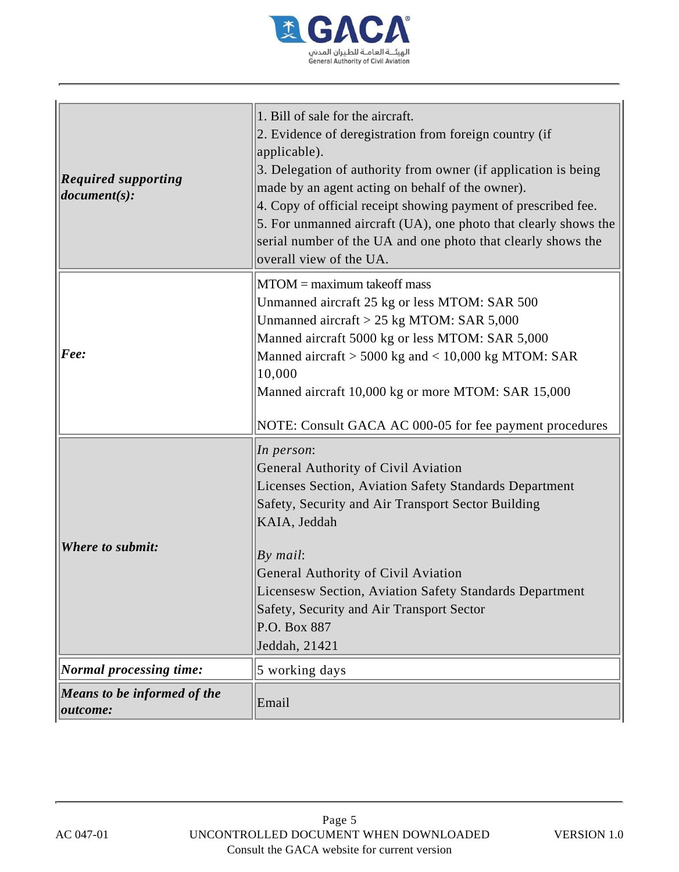

| <b>Required supporting</b><br>document(s):     | 1. Bill of sale for the aircraft.<br>2. Evidence of deregistration from foreign country (if<br>applicable).<br>3. Delegation of authority from owner (if application is being<br>made by an agent acting on behalf of the owner).<br>4. Copy of official receipt showing payment of prescribed fee.<br>5. For unmanned aircraft (UA), one photo that clearly shows the<br>serial number of the UA and one photo that clearly shows the<br>overall view of the UA. |
|------------------------------------------------|-------------------------------------------------------------------------------------------------------------------------------------------------------------------------------------------------------------------------------------------------------------------------------------------------------------------------------------------------------------------------------------------------------------------------------------------------------------------|
| [Fee:                                          | $MTOM =$ maximum takeoff mass<br>Unmanned aircraft 25 kg or less MTOM: SAR 500<br>Unmanned aircraft $> 25$ kg MTOM: SAR 5,000<br>Manned aircraft 5000 kg or less MTOM: SAR 5,000<br>Manned aircraft $> 5000$ kg and $< 10,000$ kg MTOM: SAR<br>10,000<br>Manned aircraft 10,000 kg or more MTOM: SAR 15,000<br>NOTE: Consult GACA AC 000-05 for fee payment procedures                                                                                            |
| <b>Where to submit:</b>                        | $\ln$ person:<br>General Authority of Civil Aviation<br>Licenses Section, Aviation Safety Standards Department<br>Safety, Security and Air Transport Sector Building<br>KAIA, Jeddah<br> By mail:<br>General Authority of Civil Aviation<br>Licensesw Section, Aviation Safety Standards Department<br>Safety, Security and Air Transport Sector<br>P.O. Box 887<br>Jeddah, 21421                                                                                 |
| Normal processing time:                        | 5 working days                                                                                                                                                                                                                                                                                                                                                                                                                                                    |
| Means to be informed of the<br><i>outcome:</i> | Email                                                                                                                                                                                                                                                                                                                                                                                                                                                             |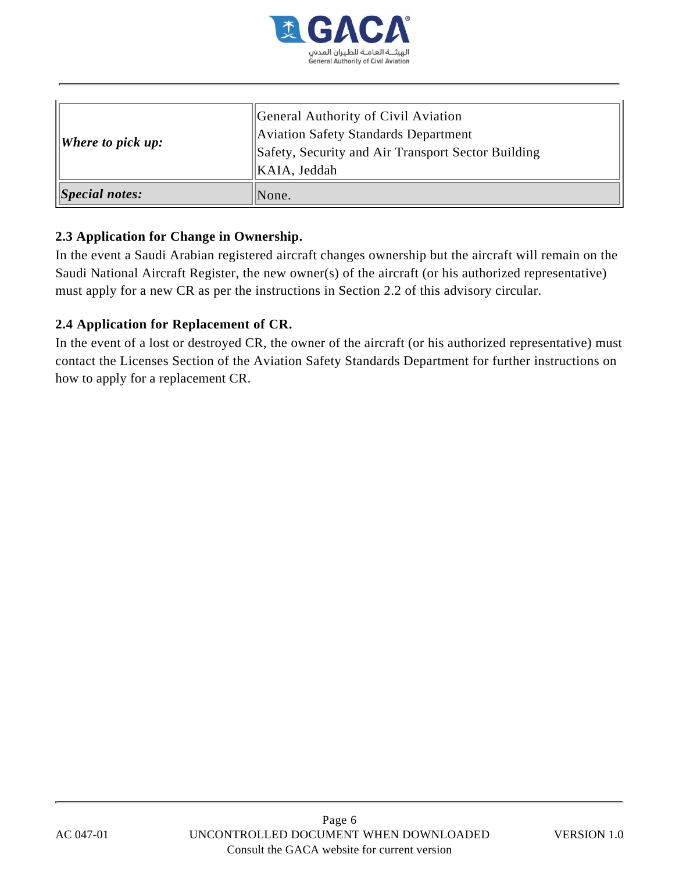

| $\parallel$ Where to pick up: | General Authority of Civil Aviation<br>Aviation Safety Standards Department<br>  Safety, Security and Air Transport Sector Building |
|-------------------------------|-------------------------------------------------------------------------------------------------------------------------------------|
|                               | KAIA, Jeddah                                                                                                                        |
| Special notes:                | None.                                                                                                                               |

## **2.3 Application for Change in Ownership.**

In the event a Saudi Arabian registered aircraft changes ownership but the aircraft will remain on the Saudi National Aircraft Register, the new owner(s) of the aircraft (or his authorized representative) must apply for a new CR as per the instructions in Section 2.2 of this advisory circular.

## **2.4 Application for Replacement of CR.**

In the event of a lost or destroyed CR, the owner of the aircraft (or his authorized representative) must contact the Licenses Section of the Aviation Safety Standards Department for further instructions on how to apply for a replacement CR.